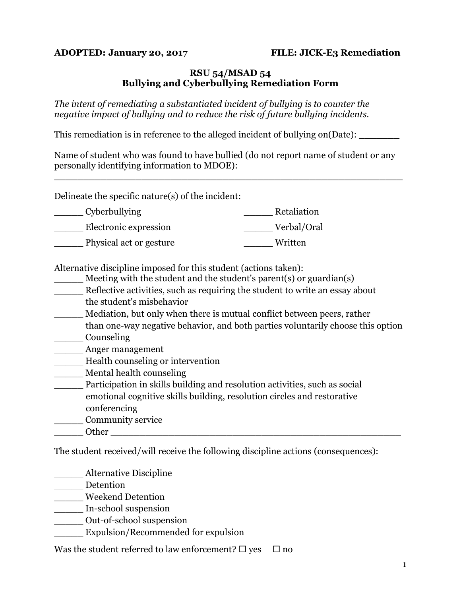## **ADOPTED: January 20, 2017 FILE: JICK-E3 Remediation**

## **RSU 54/MSAD 54 Bullying and Cyberbullying Remediation Form**

*The intent of remediating a substantiated incident of bullying is to counter the negative impact of bullying and to reduce the risk of future bullying incidents.*

This remediation is in reference to the alleged incident of bullying on (Date):

Name of student who was found to have bullied (do not report name of student or any personally identifying information to MDOE):

\_\_\_\_\_\_\_\_\_\_\_\_\_\_\_\_\_\_\_\_\_\_\_\_\_\_\_\_\_\_\_\_\_\_\_\_\_\_\_\_\_\_\_\_\_\_\_\_\_\_\_\_\_\_\_\_\_\_\_\_

Delineate the specific nature(s) of the incident:

| Cyberbullying           | Retaliation |
|-------------------------|-------------|
| Electronic expression   | Verbal/Oral |
| Physical act or gesture | Written     |

Alternative discipline imposed for this student (actions taken):

- Meeting with the student and the student's parent(s) or guardian(s) Reflective activities, such as requiring the student to write an essay about the student's misbehavior
- \_\_\_\_\_ Mediation, but only when there is mutual conflict between peers, rather than one-way negative behavior, and both parties voluntarily choose this option
- \_\_\_\_\_ Counseling
- \_\_\_\_\_ Anger management
- \_\_\_\_\_ Health counseling or intervention
- \_\_\_\_\_ Mental health counseling
- \_\_\_\_\_ Participation in skills building and resolution activities, such as social emotional cognitive skills building, resolution circles and restorative conferencing
- \_\_\_\_\_ Community service
- Other  $\Box$

The student received/will receive the following discipline actions (consequences):

- \_\_\_\_\_ Alternative Discipline
- \_\_\_\_\_ Detention
- \_\_\_\_\_ Weekend Detention
- \_\_\_\_\_ In-school suspension
- \_\_\_\_\_ Out-of-school suspension
- Expulsion/Recommended for expulsion

Was the student referred to law enforcement?  $\Box$  yes  $\Box$  no